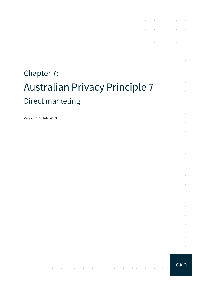# Chapter 7: Australian Privacy Principle 7 — Direct marketing

 $\mathcal{A}^{\mathcal{A}}$  and  $\mathcal{A}^{\mathcal{A}}$  and  $\mathcal{A}^{\mathcal{A}}$ 

and the company

 $\mathcal{A}^{\mathcal{A}}$  and  $\mathcal{A}^{\mathcal{A}}$ 

 $\sim 10$ 

the contract of the contract of the con-

 $\sim$ 

المنافر والمتناقص والمتناقص والمتناقص والمتناقص والمتناقص والمتناقص والمتناقص

Version 1.1, July 2019



 $\Delta\sim 10^{11}$  m  $^{-1}$  $\alpha$  , and  $\alpha$ 

 $\mathcal{A}$  . The contribution of the contribution of the contribution of  $\mathcal{A}$ 

 $\mathcal{A}$  . The contribution of the contribution of the contribution of  $\mathcal{A}$ 

the control of the con-

the control of the con-

the control of the control of

and the company of the company of

 $\sim$ 

 $\sim$ 

 $\sim$ 

÷ **Service** and a state

à. V.  $\sim$ 

÷.  $\mathcal{L}^{\text{max}}$  $\sim$ 

 $\mathcal{L}$  $\mathcal{L}^{\text{max}}$ 

÷.  $\alpha$  and  $\alpha$  $\mathcal{L}^{\text{max}}$ 

 $\mathcal{L}$  $\mathcal{L}$  $\sim$  $\alpha$  and  $\alpha$  $\mathcal{L}^{\text{max}}$ 

 $\mathcal{L}^{\pm}$  $\sim 10^{-10}$  km

 $\mathcal{L}^{\pm}$  $\sim 10^{-1}$  m  $^{-1}$ 

 $\mathcal{L}$ **Service** 

 $\sim$ **Contract** 

 $\bar{z}$  $\alpha = 1/2$  $\mathcal{L}^{\text{max}}$  .

à.  $\alpha$  ,  $\beta$  ,  $\alpha$ 

 $\mathcal{L}$  $\sim 10^{-11}$  km

 $\mathcal{L}$  $\sim$  $\sim$ 

 $\Delta\sim 100$  $\mathcal{L}$  $\mathcal{L}^{\text{max}}$  $\Delta \sim 100$ 

 $\mathcal{L}^{\mathcal{A}}$  . The set of the set of the set of the set of the set of  $\mathcal{L}^{\mathcal{A}}$ 

and a straightful control of the state

 $\mathcal{L}^{\mathcal{A}}$  . The contribution of the contribution of  $\mathcal{L}^{\mathcal{A}}$ 

 $\epsilon$  $\bar{z}$ 

÷.  $\sim$  $\sim$  $\sim$ 

÷.  $\mathcal{A}$  $\sim$  $\sim$ 

÷.

 $\sim$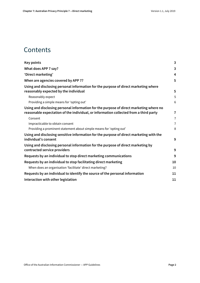### **Contents**

| <b>Key points</b>                                                                                                                                                               | $\overline{3}$ |
|---------------------------------------------------------------------------------------------------------------------------------------------------------------------------------|----------------|
| What does APP 7 say?                                                                                                                                                            | 3              |
| 'Direct marketing'                                                                                                                                                              | 4              |
| When are agencies covered by APP 7?                                                                                                                                             | 5              |
| Using and disclosing personal information for the purpose of direct marketing where<br>reasonably expected by the individual                                                    | 5              |
| Reasonably expect                                                                                                                                                               | 5              |
| Providing a simple means for 'opting out'                                                                                                                                       | 6              |
| Using and disclosing personal information for the purpose of direct marketing where no<br>reasonable expectation of the individual, or information collected from a third party | 7              |
| Consent                                                                                                                                                                         | $\overline{7}$ |
| Impracticable to obtain consent                                                                                                                                                 | $\overline{7}$ |
| Providing a prominent statement about simple means for 'opting out'                                                                                                             | 8              |
| Using and disclosing sensitive information for the purpose of direct marketing with the<br>individual's consent                                                                 | 9              |
| Using and disclosing personal information for the purpose of direct marketing by<br>contracted service providers                                                                | 9              |
| Requests by an individual to stop direct marketing communications                                                                                                               | 9              |
| Requests by an individual to stop facilitating direct marketing                                                                                                                 | 10             |
| When does an organisation 'facilitate' direct marketing?                                                                                                                        | 10             |
| Requests by an individual to identify the source of the personal information                                                                                                    | 11             |
| Interaction with other legislation                                                                                                                                              | 11             |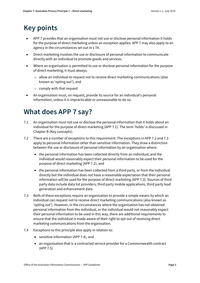# <span id="page-2-0"></span>**Key points**

- APP 7 provides that an organisation must not use or disclose personal information it holds for the purpose of direct marketing unless an exception applies. APP 7 may also apply to an agency in the circumstances set out in s 7A.
- Direct marketing involves the use or disclosure of personal information to communicate directly with an individual to promote goods and services.
- Where an organisation is permitted to use or disclose personal information for the purpose of direct marketing, it must always:
	- $\circ$  allow an individual to request not to receive direct marketing communications (also known as 'opting out'), and
	- o comply with that request
- An organisation must, on request, provide its source for an individual's personal information, unless it is impracticable or unreasonable to do so.

# <span id="page-2-1"></span>**What does APP 7 say?**

- 7.1 An organisation must not use or disclose the personal information that it holds about an individual for the purpose of direct marketing (APP 7.1). The term 'holds' is discussed in Chapter B (Key concepts).
- 7.2 There are a number of exceptions to this requirement. The exceptions in APP 7.2 and 7.3 apply to personal information other than sensitive information. They draw a distinction between the use or disclosure of personal information by an organisation where:
	- the personal information has been collected directly from an individual, and the individual would reasonably expect their personal information to be used for the purpose of direct marketing (APP 7.2), and
	- the personal information has been collected from a third party, or from the individual directly but the individual does not have a reasonable expectation that their personal information will be used for the purpose of direct marketing (APP 7.3). Sources of third party data include data list providers, third party mobile applications, third party lead generation and enhancement data
- 7.3 Both of these exceptions require an organisation to provide a simple means by which an individual can request not to receive direct marketing communications (also known as 'opting out'). However, in the circumstances where the organisation has not obtained personal information from the individual, or the individual would not reasonably expect their personal information to be used in this way, there are additional requirements to ensure that the individual is made aware of their right to opt out of receiving direct marketing communications from the organisation.
- 7.4 Exceptions to this principle also apply in relation to:
	- sensitive information (APP 7.4), and
	- an organisation that is a contracted service provider for a Commonwealth contract (APP 7.5)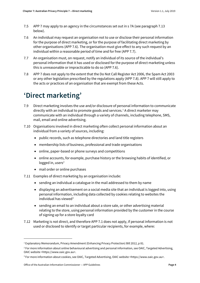- 7.5 APP 7 may apply to an agency in the circumstances set out in s 7A (see paragrap[h 7.13](#page-4-3) below).
- 7.6 An individual may request an organisation not to use or disclose their personal information for the purpose of direct marketing, or for the purpose of facilitating direct marketing by other organisations (APP 7.6). The organisation must give effect to any such request by an individual within a reasonable period of time and for free (APP 7.7).
- 7.7 An organisation must, on request, notify an individual of its source of the individual's personal information that it has used or disclosed for the purpose of direct marketing unless this is unreasonable or impracticable to do so (APP 7.6).
- 7.8 APP 7 does not apply to the extent that the Do Not Call Register Act 2006, the Spam Act 2003 or any other legislation prescribed by the regulations apply (APP 7.8). APP 7 will still apply to the acts or practices of an organisation that are exempt from these Acts.

# <span id="page-3-0"></span>**'Direct marketing'**

- 7.9 Direct marketing involves the use and/or disclosure of personal information to communicate directly with an individual to promote goods and services.<sup>[1](#page-3-1)</sup> A direct marketer may communicate with an individual through a variety of channels, including telephone, SMS, mail, email and online advertising.
- 7.10 Organisations involved in direct marketing often collect personal information about an individual from a variety of sources, including:
	- public records, such as telephone directories and land title registers
	- membership lists of business, professional and trade organisations
	- online, paper-based or phone surveys and competitions
	- online accounts, for example, purchase history or the browsing habits of identified, or logged in, users $2$
	- mail order or online purchases
- 7.11 Examples of direct marketing by an organisation include:
	- sending an individual a catalogue in the mail addressed to them by name
	- displaying an advertisement on a social media site that an individual is logged into, using personal information, including data collected by cookies relating to websites the individual has viewed<sup>[3](#page-3-3)</sup>
	- sending an email to an individual about a store sale, or other advertising material relating to the store, using personal information provided by the customer in the course of signing up for a store loyalty card
- 7.12 Marketing is not direct, and therefore APP 7.1 does not apply, if personal information is not used or disclosed to identify or target particular recipients, for example, where:

 $\overline{a}$ 

<span id="page-3-1"></span><sup>&</sup>lt;sup>1</sup> Explanatory Memorandum, Privacy Amendment (Enhancing Privacy Protection) Bill 2012, p 81.

<span id="page-3-2"></span><sup>&</sup>lt;sup>2</sup> For more information about online behavioural advertising and personal information, see OAIC, Targeted Advertising, OAIC website <https://www.oaic.gov.au>.

<span id="page-3-3"></span><sup>3</sup> For more information about cookies, see OAIC, Targeted Advertising, OAIC website <https://www.oaic.gov.au>.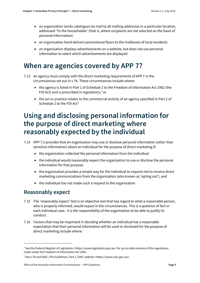- an organisation sends catalogues by mail to all mailing addresses in a particular location, addressed 'To the householder' (that is, where recipients are not selected on the basis of personal information)
- an organisation hand delivers promotional flyers to the mailboxes of local residents
- an organisation displays advertisements on a website, but does not use personal information to select which advertisements are displayed

### <span id="page-4-0"></span>**When are agencies covered by APP 7?**

- <span id="page-4-3"></span>7.13 An agency must comply with the direct marketing requirements of APP 7 in the circumstances set out in s 7A. These circumstances include where:
	- the agency is listed in Part 1 of Schedule 2 to the Freedom of Information Act 1982 (the FOI Act) and is prescribed in regulations,<sup>4</sup> or
	- the act or practice relates to the commercial activity of an agency specified in Part 2 of Schedule 2 to the FOI Act<sup>[5](#page-4-5)</sup>

### <span id="page-4-1"></span>**Using and disclosing personal information for the purpose of direct marketing where reasonably expected by the individual**

- 7.14 APP 7.2 provides that an organisation may use or disclose personal information (other than sensitive information) about an individual for the purpose of direct marketing if:
	- the organisation collected the personal information from the individual
	- the individual would reasonably expect the organisation to use or disclose the personal information for that purpose
	- the organisation provides a simple way for the individual to request not to receive direct marketing communications from the organisation (also known as 'opting out'), and
	- the individual has not made such a request to the organisation

### <span id="page-4-2"></span>**Reasonably expect**

**.** 

- 7.15 The 'reasonably expect' test is an objective test that has regard to what a reasonable person, who is properly informed, would expect in the circumstances. This is a question of fact in each individual case. It is the responsibility of the organisation to be able to justify its conduct.
- 7.16 Factors that may be important in deciding whether an individual has a reasonable expectation that their personal information will be used or disclosed for the purpose of direct marketing include where:

<span id="page-4-4"></span><sup>4</sup> See the Federal Register of Legislation <https://www.legislation.gov.au> for up-to-date versions of the regulations made under the Freedom of Information Act 1982.

<span id="page-4-5"></span><sup>5</sup> See s 7A and OAIC, FOI Guidelines, Part 2, OAIC website <https://www.oaic.gov.au>.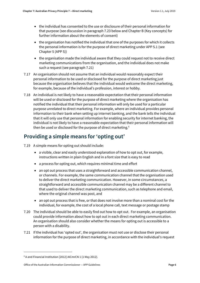- the individual has consented to the use or disclosure of their personal information for that purpose (see discussion in paragraph [7.23](#page-6-3) below and Chapter B (Key concepts) for further information about the elements of consent)
- the organisation has notified the individual that one of the purposes for which it collects the personal information is for the purpose of direct marketing under APP 5.1 (see Chapter 5 (APP 5))
- the organisation made the individual aware that they could request not to receive direct marketing communications from the organisation, and the individual does not make such a request (see paragrap[h 7.21\)](#page-5-1)
- 7.17 An organisation should not assume that an individual would reasonably expect their personal information to be used or disclosed for the purpose of direct marketing just because the organisation believes that the individual would welcome the direct marketing, for example, because of the individual's profession, interest or hobby.
- 7.18 An individual is not likely to have a reasonable expectation that their personal information will be used or disclosed for the purpose of direct marketing where the organisation has notified the individual that their personal information will only be used for a particular purpose unrelated to direct marketing. For example, where an individual provides personal information to their bank when setting up internet banking, and the bank tells the individual that it will only use that personal information for enabling security for internet banking, the individual is not likely to have a reasonable expectation that their personal information will then be used or disclosed for the purpose of direct marketing.<sup>[6](#page-5-2)</sup>

### <span id="page-5-0"></span>**Providing a simple means for 'opting out'**

- <span id="page-5-3"></span>7.19 A simple means for opting out should include:
	- a visible, clear and easily understood explanation of how to opt out, for example, instructions written in plain English and in a font size that is easy to read
	- a process for opting out, which requires minimal time and effort
	- an opt out process that uses a straightforward and accessible communication channel, or channels. For example, the same communication channel that the organisation used to deliver the direct marketing communication. However, in some circumstances, a straightforward and accessible communication channel may be a different channel to that used to deliver the direct marketing communication, such as telephone and email, where the original channel was post, and
	- an opt out process that is free, or that does not involve more than a nominal cost for the individual, for example, the cost of a local phone call, text message or postage stamp
- 7.20 The individual should be able to easily find out how to opt out. For example, an organisation could provide information about how to opt out in each direct marketing communication. An organisation should also consider whether the means for opting out is accessible to a person with a disability.
- <span id="page-5-1"></span>7.21 If the individual has 'opted out', the organisation must not use or disclose their personal information for the purpose of direct marketing, in accordance with the individual's request

1

<span id="page-5-2"></span><sup>6</sup> A and Financial Institution [2012] AICmrCN 1 (1 May 2012).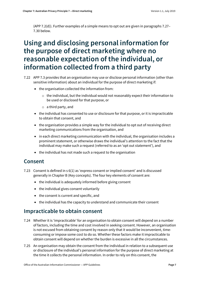(APP 7.2(d)). Further examples of a simple means to opt out are given in paragraphs [7.27–](#page-7-1) [7.30](#page-7-2) below.

### <span id="page-6-0"></span>**Using and disclosing personal information for the purpose of direct marketing where no reasonable expectation of the individual, or information collected from a third party**

- 7.22 APP 7.3 provides that an organisation may use or disclose personal information (other than sensitive information) about an individual for the purpose of direct marketing if:
	- the organisation collected the information from:
		- $\circ$  the individual, but the individual would not reasonably expect their information to be used or disclosed for that purpose, or
		- $\circ$  a third party, and
	- the individual has consented to use or disclosure for that purpose, or it is impracticable to obtain that consent, and
	- the organisation provides a simple way for the individual to opt out of receiving direct marketing communications from the organisation, and
	- in each direct marketing communication with the individual, the organisation includes a prominent statement, or otherwise draws the individual's attention to the fact that the individual may make such a request (referred to as an 'opt out statement'), and
	- the individual has not made such a request to the organisation

#### <span id="page-6-1"></span>**Consent**

- <span id="page-6-3"></span>7.23 Consent is defined in s 6(1) as 'express consent or implied consent' and is discussed generally in Chapter B (Key concepts). The four key elements of consent are:
	- the individual is adequately informed before giving consent
	- the individual gives consent voluntarily
	- the consent is current and specific, and
	- the individual has the capacity to understand and communicate their consent

#### <span id="page-6-2"></span>**Impracticable to obtain consent**

- 7.24 Whether it is 'impracticable' for an organisation to obtain consent will depend on a number of factors, including the time and cost involved in seeking consent. However, an organisation is not excused from obtaining consent by reason only that it would be inconvenient, timeconsuming or impose some cost to do so. Whether these factors make it impracticable to obtain consent will depend on whether the burden is excessive in all the circumstances.
- 7.25 An organisation may obtain the consent from the individual in relation to a subsequent use or disclosure of the individual's personal information for the purpose of direct marketing at the time it collects the personal information. In order to rely on this consent, the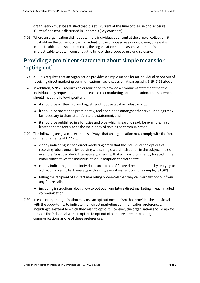organisation must be satisfied that it is still current at the time of the use or disclosure. 'Current' consent is discussed in Chapter B (Key concepts).

7.26 Where an organisation did not obtain the individual's consent at the time of collection, it must obtain the consent of the individual for the proposed use or disclosure, unless it is impracticable to do so. In that case, the organisation should assess whether it is impracticable to obtain consent at the time of the proposed use or disclosure.

### <span id="page-7-0"></span>**Providing a prominent statement about simple means for 'opting out'**

- <span id="page-7-1"></span>7.27 APP 7.3 requires that an organisation provides a simple means for an individual to opt out of receiving direct marketing communications (see discussion at paragraph[s 7.19–](#page-5-3)[7.21](#page-5-1) above).
- 7.28 In addition, APP 7.3 requires an organisation to provide a prominent statement that the individual may request to opt out in each direct marketing communication. This statement should meet the following criteria:
	- it should be written in plain English, and not use legal or industry jargon
	- it should be positioned prominently, and not hidden amongst other text. Headings may be necessary to draw attention to the statement, and
	- it should be published in a font size and type which is easy to read, for example, in at least the same font size as the main body of text in the communication
- 7.29 The following are given as examples of ways that an organisation may comply with the 'opt out' requirements of APP 7.3:
	- clearly indicating in each direct marketing email that the individual can opt out of receiving future emails by replying with a single word instruction in the subject line (for example, 'unsubscribe'). Alternatively, ensuring that a link is prominently located in the email, which takes the individual to a subscription control centre
	- clearly indicating that the individual can opt out of future direct marketing by replying to a direct marketing text message with a single word instruction (for example, 'STOP')
	- telling the recipient of a direct marketing phone call that they can verbally opt out from any future calls
	- including instructions about how to opt out from future direct marketing in each mailed communication
- <span id="page-7-2"></span>7.30 In each case, an organisation may use an opt out mechanism that provides the individual with the opportunity to indicate their direct marketing communication preferences, including the extent to which they wish to opt out. However, the organisation should always provide the individual with an option to opt out of all future direct marketing communications as one of these preferences.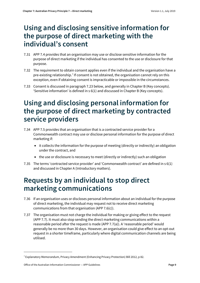### <span id="page-8-0"></span>**Using and disclosing sensitive information for the purpose of direct marketing with the individual's consent**

- 7.31 APP 7.4 provides that an organisation may use or disclose sensitive information for the purpose of direct marketing if the individual has consented to the use or disclosure for that purpose.
- 7.32 The requirement to obtain consent applies even if the individual and the organisation have a pre-existing relationship.<sup>[7](#page-8-3)</sup> If consent is not obtained, the organisation cannot rely on this exception, even if obtaining consent is impracticable or impossible in the circumstances.
- 7.33 Consent is discussed in paragrap[h 7.23](#page-6-3) below, and generally in Chapter B (Key concepts). 'Sensitive information' is defined in s 6(1) and discussed in Chapter B (Key concepts).

### <span id="page-8-1"></span>**Using and disclosing personal information for the purpose of direct marketing by contracted service providers**

- 7.34 APP 7.5 provides that an organisation that is a contracted service provider for a Commonwealth contract may use or disclose personal information for the purpose of direct marketing if:
	- it collects the information for the purpose of meeting (directly or indirectly) an obligation under the contract, and
	- the use or disclosure is necessary to meet (directly or indirectly) such an obligation
- 7.35 The terms 'contracted service provider' and 'Commonwealth contract' are defined in s 6(1) and discussed in Chapter A (Introductory matters).

## <span id="page-8-2"></span>**Requests by an individual to stop direct marketing communications**

- 7.36 If an organisation uses or discloses personal information about an individual for the purpose of direct marketing, the individual may request not to receive direct marketing communications from that organisation (APP 7.6(c)).
- 7.37 The organisation must not charge the individual for making or giving effect to the request (APP 7.7). It must also stop sending the direct marketing communications within a reasonable period after the request is made (APP 7.7(a)). A 'reasonable period' would generally be no more than 30 days. However, an organisation could give effect to an opt-out request in a shorter timeframe, particularly where digital communication channels are being utilised.

1

<span id="page-8-3"></span><sup>7</sup> Explanatory Memorandum, Privacy Amendment (Enhancing Privacy Protection) Bill 2012, p 82.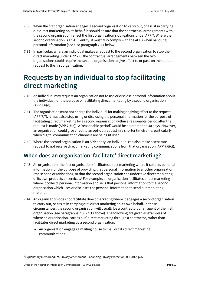- <span id="page-9-3"></span>7.38 When the first organisation engages a second organisation to carry out, or assist in carrying out direct marketing on its behalf, it should ensure that the contractual arrangements with the second organisation reflect the first organisation's obligations under APP 7. Where the second organisation is an APP entity, it must also comply with the APPs when handling personal information (see also paragrap[h 7.44](#page-9-2) below).
- <span id="page-9-4"></span>7.39 In particular, where an individual makes a request to the second organisation to stop the direct marketing under APP 7.6, the contractual arrangements between the two organisations could require the second organisation to give effect to or pass on the opt out request to the first organisation.

### <span id="page-9-0"></span>**Requests by an individual to stop facilitating direct marketing**

- 7.40 An individual may request an organisation not to use or disclose personal information about the individual for the purpose of facilitating direct marketing by a second organisation  $(APP 7.6(d)).$
- 7.41 The organisation must not charge the individual for making or giving effect to the request (APP 7.7). It must also stop using or disclosing the personal information for the purpose of facilitating direct marketing by a second organisation within a reasonable period after the request is made (APP 7.7(a)). A 'reasonable period' would be no more than 30 days. However, an organisation could give effect to an opt-out request in a shorter timeframe, particularly when digital communication channels are being utilised.
- 7.42 Where the second organisation is an APP entity, an individual can also make a separate request to not receive direct marketing communications from that organisation (APP 7.6(c)).

### <span id="page-9-1"></span>**When does an organisation 'facilitate' direct marketing?**

- 7.43 An organisation (the first organisation) facilitates direct marketing where it collects personal information for the purpose of providing that personal information to another organisation (the second organisation), so that the second organisation can undertake direct marketing of its own products or services.<sup>8</sup> For example, an organisation facilitates direct marketing where it collects personal information and sells that personal information to the second organisation which uses or discloses the personal information to send out marketing material.
- <span id="page-9-2"></span>7.44 An organisation does not facilitate direct marketing where it engages a second organisation to carry out, or assist in carrying out, direct marketing on its own behalf. In these circumstances, the second organisation will usually be a contractor, or an agent of the first organisation (see paragraph[s 7.38–](#page-9-3)[7.39](#page-9-4) above). The following are given as examples of where an organisation 'carries out' direct marketing through a contractor, rather than facilitates direct marketing by a second organisation:
	- An organisation engages a mailing house to mail out its direct marketing communications.

1

<span id="page-9-5"></span><sup>8</sup> Explanatory Memorandum, Privacy Amendment (Enhancing Privacy Protection) Bill 2012, p 82.